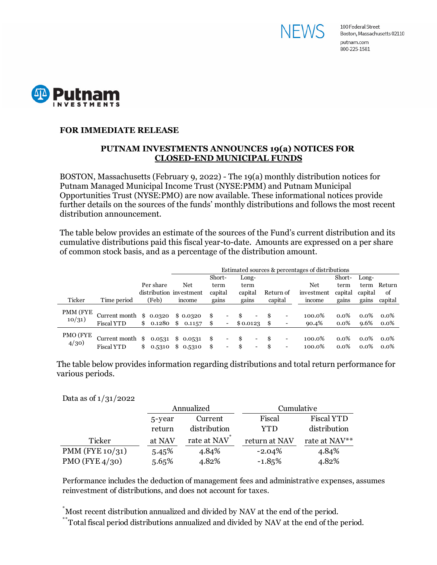



## **FOR IMMEDIATE RELEASE**

## **PUTNAM INVESTMENTS ANNOUNCES 19(a) NOTICES FOR CLOSED-END MUNICIPAL FUNDS**

BOSTON, Massachusetts (February 9, 2022) - The 19(a) monthly distribution notices for Putnam Managed Municipal Income Trust (NYSE:PMM) and Putnam Municipal Opportunities Trust (NYSE:PMO) are now available. These informational notices provide further details on the sources of the funds' monthly distributions and follows the most recent distribution announcement.

The table below provides an estimate of the sources of the Fund's current distribution and its cumulative distributions paid this fiscal year-to-date. Amounts are expressed on a per share of common stock basis, and as a percentage of the distribution amount.

|                    |                                       |                        | Estimated sources & percentages of distributions |         |                                                      |                |        |          |                          |                  |                    |                    |                    |
|--------------------|---------------------------------------|------------------------|--------------------------------------------------|---------|------------------------------------------------------|----------------|--------|----------|--------------------------|------------------|--------------------|--------------------|--------------------|
|                    |                                       |                        |                                                  | Short-  |                                                      | Long-          |        |          |                          |                  | Short-             | Long-              |                    |
|                    |                                       | Per share              | Net                                              | term    |                                                      | term           |        |          |                          | Net              | term               | term               | Return             |
|                    |                                       |                        | distribution investment                          | capital |                                                      | capital        |        |          | Return of                | investment       | capital            | capital            | of                 |
| Ticker             | Time period                           | (Feb)                  | income                                           | gains   |                                                      | gains          |        |          | capital                  | mcome            | gains              | gains              | capital            |
| PMM (FYE<br>10/31) | Current month<br><b>Fiscal YTD</b>    | \$0.0320               | \$0.0320<br>$$0.1280 \$0.1157$                   | S<br>\$ | $\overline{\phantom{a}}$                             | $$0.0123$ \ \$ | -      | S        | -                        | 100.0%<br>90.4%  | $0.0\%$<br>$0.0\%$ | $0.0\%$<br>$9.6\%$ | $0.0\%$<br>$0.0\%$ |
| PMO (FYE<br>4/30   | Current month \$<br><b>Fiscal YTD</b> | \$<br>0.0531<br>0.5310 | \$0.0531<br>\$0.5310                             | S<br>\$ | $\overline{\phantom{a}}$<br>$\overline{\phantom{a}}$ | £.<br>£.       | -<br>- | \$<br>\$ | $\overline{\phantom{a}}$ | 100.0%<br>100.0% | $0.0\%$<br>$0.0\%$ | $0.0\%$<br>$0.0\%$ | $0.0\%$<br>$0.0\%$ |

The table below provides information regarding distributions and total return performance for various periods.

Data as of 1/31/2022

|                   |        | Annualized   | Cumulative    |                   |  |  |
|-------------------|--------|--------------|---------------|-------------------|--|--|
|                   | 5-year | Current      | Fiscal        | <b>Fiscal YTD</b> |  |  |
|                   | return | distribution | <b>YTD</b>    | distribution      |  |  |
| Ticker            | at NAV | rate at NAV  | return at NAV | rate at NAV**     |  |  |
| $PMM$ (FYE 10/31) | 5.45%  | 4.84%        | $-2.04%$      | 4.84%             |  |  |
| PMO (FYE $4/30$ ) | 5.65%  | 4.82%        | $-1.85%$      | 4.82%             |  |  |

Performance includes the deduction of management fees and administrative expenses, assumes reinvestment of distributions, and does not account for taxes.

\* Most recent distribution annualized and divided by NAV at the end of the period.

\*\*Total fiscal period distributions annualized and divided by NAV at the end of the period.